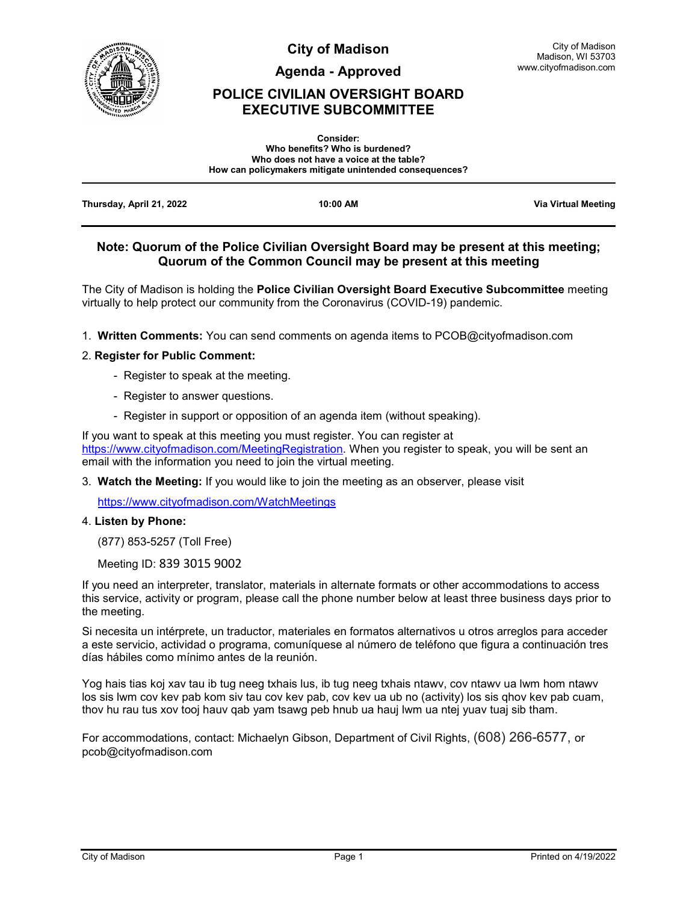

**City of Madison**

**Agenda - Approved**

# **POLICE CIVILIAN OVERSIGHT BOARD EXECUTIVE SUBCOMMITTEE**

|                          | <b>Consider:</b><br>Who benefits? Who is burdened?<br>Who does not have a voice at the table?<br>How can policymakers mitigate unintended consequences? |                            |
|--------------------------|---------------------------------------------------------------------------------------------------------------------------------------------------------|----------------------------|
| Thursday, April 21, 2022 | 10:00 AM                                                                                                                                                | <b>Via Virtual Meeting</b> |

## **Note: Quorum of the Police Civilian Oversight Board may be present at this meeting; Quorum of the Common Council may be present at this meeting**

The City of Madison is holding the **Police Civilian Oversight Board Executive Subcommittee** meeting virtually to help protect our community from the Coronavirus (COVID-19) pandemic.

1. **Written Comments:** You can send comments on agenda items to PCOB@cityofmadison.com

#### 2. **Register for Public Comment:**

- Register to speak at the meeting.
- Register to answer questions.
- Register in support or opposition of an agenda item (without speaking).

If you want to speak at this meeting you must register. You can register at [https://www.cityofmadison.com/MeetingRegistration.](https://www.cityofmadison.com/MeetingRegistration) When you register to speak, you will be sent an email with the information you need to join the virtual meeting.

3. **Watch the Meeting:** If you would like to join the meeting as an observer, please visit

<https://www.cityofmadison.com/WatchMeetings>

#### 4. **Listen by Phone:**

(877) 853-5257 (Toll Free)

Meeting ID: 839 3015 9002

If you need an interpreter, translator, materials in alternate formats or other accommodations to access this service, activity or program, please call the phone number below at least three business days prior to the meeting.

Si necesita un intérprete, un traductor, materiales en formatos alternativos u otros arreglos para acceder a este servicio, actividad o programa, comuníquese al número de teléfono que figura a continuación tres días hábiles como mínimo antes de la reunión.

Yog hais tias koj xav tau ib tug neeg txhais lus, ib tug neeg txhais ntawv, cov ntawv ua lwm hom ntawv los sis lwm cov kev pab kom siv tau cov kev pab, cov kev ua ub no (activity) los sis qhov kev pab cuam, thov hu rau tus xov tooj hauv qab yam tsawg peb hnub ua hauj lwm ua ntej yuav tuaj sib tham.

For accommodations, contact: Michaelyn Gibson, Department of Civil Rights, (608) 266-6577, or pcob@cityofmadison.com